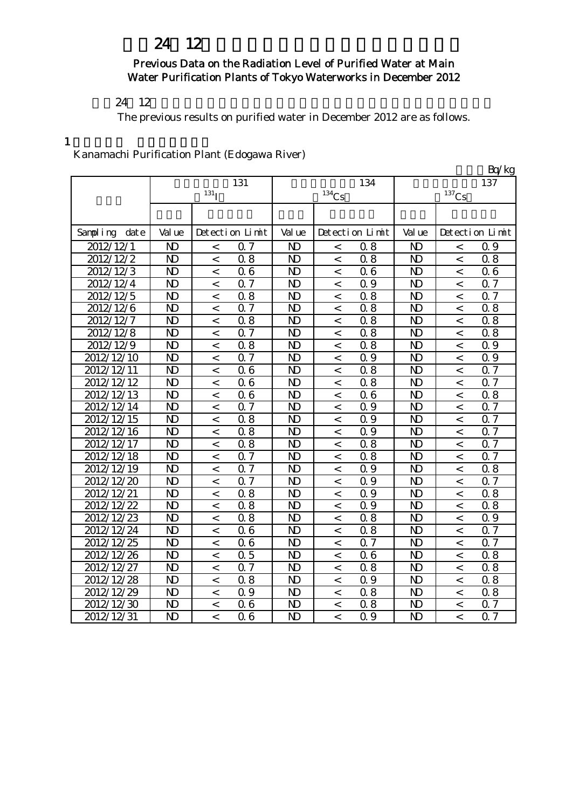# 24 12

### Previous Data on the Radiation Level of Purified Water at Main Water Purification Plants of Tokyo Waterworks in December 2012

### 24 12

The previous results on purified water in December 2012 are as follows.

#### 1

Kanamachi Purification Plant (Edogawa River)

|                         |                |                  |                  |                |                     |                 |                |                          | Bq/kg            |
|-------------------------|----------------|------------------|------------------|----------------|---------------------|-----------------|----------------|--------------------------|------------------|
|                         |                |                  | 131              |                |                     | 134             |                |                          | 137              |
|                         |                | 131 <sub>I</sub> |                  |                | $^{134}\mathrm{Cs}$ |                 | $137$ Cs       |                          |                  |
|                         |                |                  |                  |                |                     |                 |                |                          |                  |
|                         |                |                  |                  |                |                     |                 |                |                          |                  |
| Sampling date           | Val ue         |                  | Detection Limit  | Val ue         |                     | Detection Limit | Val ue         |                          | Detection Limit  |
| 2012/12/1               | $\mathbf{D}$   | $\,<\,$          | $\alpha$ 7       | N <sub>D</sub> | $\,<\,$             | 0.8             | N <sub>D</sub> | $\,<\,$                  | Q 9              |
| 2012/12/2               | N <sub>D</sub> | $\,<\,$          | 0.8              | N <sub>D</sub> | $\lt$               | 0.8             | N <sub>D</sub> | $\overline{\phantom{0}}$ | 0.8              |
| $2012/12\overline{3}$   | N <sub>D</sub> | $\,<\,$          | 06               | N <sub>D</sub> | $\,<\,$             | 06              | N <sub>D</sub> | $\overline{\phantom{0}}$ | 06               |
| 2012/12/4               | N <sub>D</sub> | $\,<\,$          | Q <sub>7</sub>   | N <sub>D</sub> | $\lt$               | 0.9             | N <sub>D</sub> | $\overline{\phantom{0}}$ | 0.7              |
| 2012/12/5               | N <sub>D</sub> | $\,<\,$          | 0.8              | N <sub>D</sub> | $\lt$               | 0.8             | N <sub>D</sub> | $\overline{\phantom{0}}$ | 0.7              |
| 2012/12/6               | N <sub>D</sub> | $\,<\,$          | 0.7              | N <sub>D</sub> | $\,<\,$             | 0.8             | N <sub>D</sub> | $\lt$                    | 0.8              |
| 2012/12/7               | $\mathbf{D}$   | $\,<\,$          | 0.8              | N <sub>D</sub> | $\,<\,$             | 0.8             | N <sub>D</sub> | $\overline{\phantom{0}}$ | 0.8              |
| 2012/12/8               | N <sub>D</sub> | $\,<\,$          | 0.7              | $\mathbf{D}$   | $\,<\,$             | 0.8             | N <sub>D</sub> | $\overline{\phantom{0}}$ | 0.8              |
| 2012/12/9               | N <sub>D</sub> | $\,<\,$          | 0.8              | N <sub>D</sub> | $\lt$               | 0.8             | N <sub>D</sub> | $\lt$                    | 0.9              |
| 2012/12/10              | $\mathbf{D}$   | $\,<\,$          | 0.7              | $\mathbf{D}$   | $\,<\,$             | 0.9             | N <sub>D</sub> | $\overline{\phantom{0}}$ | 0.9              |
| 2012/12/11              | N <sub>D</sub> | $\,<\,$          | 06               | N <sub>D</sub> | $\,<\,$             | 0.8             | N <sub>D</sub> | $\,<\,$                  | 0.7              |
| 2012/12/12              | N <sub>D</sub> | $\,<\,$          | 06               | N <sub>D</sub> | $\,<\,$             | 0.8             | N <sub>D</sub> | $\overline{a}$           | 0.7              |
| 2012/12/13              | N <sub>D</sub> | $\,<\,$          | 06               | N <sub>D</sub> | $\,<\,$             | 06              | N <sub>D</sub> | $\lt$                    | 0.8              |
| 2012/12/14              | N <sub>D</sub> | $\,<\,$          | 0.7              | N <sub>D</sub> | $\,<\,$             | 0.9             | N <sub>D</sub> | $\overline{a}$           | 0.7              |
| $\overline{2012}/12/15$ | N <sub>D</sub> | $\,<\,$          | 0.8              | N <sub>D</sub> | $\,<\,$             | 0.9             | N <sub>D</sub> | $\,<$                    | 0.7              |
| 2012/12/16              | N <sub>D</sub> | $\overline{a}$   | 0.8              | N <sub>D</sub> | $\lt$               | 0.9             | N <sub>D</sub> | $\overline{a}$           | $0\bar{7}$       |
| 2012/12/17              | N <sub>D</sub> | $\,<\,$          | 0.8              | N <sub>D</sub> | $\,<$               | 0.8             | N <sub>D</sub> | $\overline{a}$           | 0.7              |
| 2012/12/18              | $\mathbf{N}$   | $\,<\,$          | $\overline{0.7}$ | N <sub>D</sub> | $\,<\,$             | 0.8             | N <sub>D</sub> | $\overline{a}$           | 0.7              |
| 2012/12/19              | N <sub>D</sub> | $\overline{a}$   | $\overline{0.7}$ | N <sub>D</sub> | $\lt$               | 0.9             | N <sub>D</sub> | $\overline{a}$           | 0.8              |
| 2012/12/20              | N <sub>D</sub> | $\,<\,$          | $\overline{0.7}$ | N <sub>D</sub> | $\,<\,$             | 0.9             | N <sub>D</sub> | $\overline{a}$           | 0.7              |
| 2012/12/21              | $\mathbf{N}$   | $\,<$            | 0.8              | N <sub>D</sub> | $\,<\,$             | 0.9             | N <sub>D</sub> | $\,<$                    | 0.8              |
| 2012/12/22              | N <sub>D</sub> | $\overline{a}$   | 0.8              | N <sub>D</sub> | $\,<$               | 0.9             | N <sub>D</sub> | $\overline{a}$           | 0.8              |
| 2012/12/23              | N <sub>D</sub> | $\,<\,$          | 0.8              | N <sub>D</sub> | $\,<\,$             | 0.8             | N <sub>D</sub> | $\,<$                    | 0.9              |
| 2012/12/24              | N <sub>D</sub> | $\lt$            | 06               | N <sub>D</sub> | $\,<\,$             | 0.8             | N <sub>D</sub> | $\overline{a}$           | Q 7              |
| 2012/12/25              | N <sub>D</sub> | $\overline{<}$   | 06               | N <sub>D</sub> | $\,<$               | Q 7             | N <sub>D</sub> | $\overline{a}$           | Q 7              |
| 2012/12/26              | N <sub>D</sub> | $\lt$            | 0.5              | N <sub>D</sub> | $\,<\,$             | 06              | N <sub>D</sub> | $\,<$                    | 0.8              |
| 2012/12/27              | N <sub>D</sub> | $\overline{a}$   | 0.7              | N <sub>D</sub> | $\,<\,$             | 0.8             | N <sub>D</sub> | $\overline{a}$           | 0.8              |
| 2012/12/28              | N <sub>D</sub> | $\overline{<}$   | 0.8              | N <sub>D</sub> | $\,<$               | 0.9             | N <sub>D</sub> | $\,<$                    | 0.8              |
| 2012/12/29              | N <sub>D</sub> | $\,<\,$          | 0.9              | N <sub>D</sub> | $\,<\,$             | 0.8             | N <sub>D</sub> | $\,<$                    | 0.8              |
| 2012/12/30              | N <sub>D</sub> | $\,<$            | 06               | N <sub>D</sub> | $\,<$               | 0.8             | N <sub>D</sub> | $\overline{\phantom{0}}$ | Q 7              |
| 2012/12/31              | N <sub>D</sub> | $\overline{a}$   | 06               | N <sub>D</sub> | $\,<\,$             | 0.9             | N <sub>D</sub> | $\overline{\phantom{a}}$ | $0.\overline{7}$ |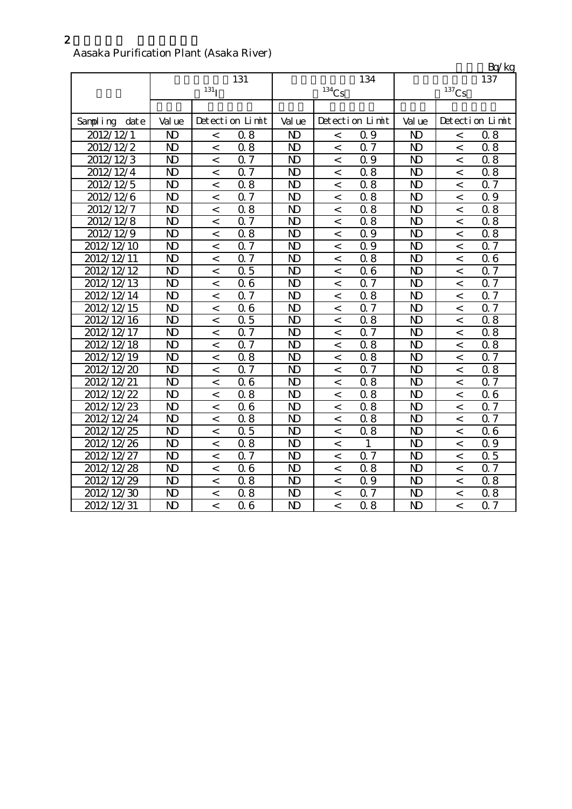|                         |                |                    |                  |                |                          |                 |                |                          | Bq/kg            |
|-------------------------|----------------|--------------------|------------------|----------------|--------------------------|-----------------|----------------|--------------------------|------------------|
|                         |                |                    | 131              |                |                          | 134             |                |                          | 137              |
|                         |                | $131$ <sup>T</sup> |                  |                | $^{134}C_5$              |                 |                | $^{137}C_5$              |                  |
|                         |                |                    |                  |                |                          |                 |                |                          |                  |
| Sampling<br>date        | Val ue         |                    | Detection Limit  | Val ue         |                          | Detection Limit | Val ue         |                          | Detection Limit  |
| 2012/12/1               | N <sub>D</sub> | $\,<\,$            | 0.8              | N <sub>D</sub> | $\,<$                    | 0.9             | $\mathbf{D}$   | $\,<$                    | 0.8              |
| 2012/12/2               | $\mathbf{D}$   | $\,<\,$            | 0.8              | $\mathbf{D}$   | $\,<\,$                  | 0.7             | $\mathbf{N}$   | $\,<\,$                  | 0.8              |
| 2012/12/3               | N <sub>D</sub> | $\,<\,$            | 0.7              | N <sub>D</sub> | $\,<\,$                  | 0.9             | N <sub>D</sub> | $\,<\,$                  | 0.8              |
| 2012/12/4               | $\mathbf{D}$   | $\,<$              | 0.7              | N <sub>D</sub> | $\,<$                    | 0.8             | $\mathbf{D}$   | $\,<\,$                  | 0.8              |
| 2012/12/5               | N <sub>D</sub> | $\lt$              | 0.8              | N <sub>D</sub> | $\,<\,$                  | 0.8             | $\mathbf{D}$   | $\lt$                    | Q 7              |
| 2012/12/6               | N <sub>D</sub> | $\,<$              | 0.7              | N <sub>D</sub> | $\,<$                    | 0.8             | N <sub>D</sub> | $\,<$                    | 0.9              |
| 2012/12/7               | N <sub>D</sub> | $\,<\,$            | 0.8              | N <sub>D</sub> | $\,<$                    | 0.8             | $\mathbf{D}$   | $\,<$                    | 0.8              |
| 2012/12/8               | N <sub>D</sub> | $\,<$              | 0.7              | N <sub>D</sub> | $\,<\,$                  | 0.8             | N <sub>D</sub> | $\,<\,$                  | 0.8              |
| 2012/12/9               | $\mathbf{D}$   | $\,<$              | 0.8              | N <sub>D</sub> | $\lt$                    | Q 9             | $\mathbf{D}$   | $\,<$                    | 0.8              |
| $\frac{2012}{12}$ 12/10 | N <sub>D</sub> | $\,<$              | $\overline{0.7}$ | N <sub>D</sub> | $\lt$                    | 0.9             | $\mathbf{D}$   | $\,<$                    | 0.7              |
| 2012/12/11              | N <sub>D</sub> | $\lt$              | 0.7              | $\mathbf{D}$   | $\,<\,$                  | 0.8             | N <sub>D</sub> | $\,<$                    | 06               |
| 2012/12/12              | N <sub>D</sub> | $\,<\,$            | 0.5              | $\mathbf{D}$   | $\,<\,$                  | 06              | N <sub>D</sub> | $\lt$                    | 0.7              |
| $2012/12/\overline{13}$ | N <sub>D</sub> | $\,<$              | 06               | $\mathbf{D}$   | $\,<$                    | 0.7             | N <sub>D</sub> | $\overline{a}$           | 0.7              |
| 2012/12/14              | N <sub>D</sub> | $\,<\,$            | 0.7              | $\mathbf{D}$   | $\,<\,$                  | 0.8             | N <sub>D</sub> | $\overline{a}$           | $\alpha \bar{z}$ |
| 2012/12/15              | $\mathbf{D}$   | $\,<$              | 06               | N <sub>D</sub> | $\,<\,$                  | 0.7             | $\mathbf{D}$   | $\,<$                    | 0.7              |
| 2012/12/16              | $\mathbf{D}$   | $\,<\,$            | 0.5              | N <sub>D</sub> | $\,<\,$                  | 0.8             | $\mathbf{D}$   | $\,<\,$                  | 0.8              |
| 2012/12/17              | N <sub>D</sub> | $\,<\,$            | 0.7              | N <sub>D</sub> | $\,<\,$                  | 0.7             | N <sub>D</sub> | $\,<$                    | 0.8              |
| 2012/12/18              | $\mathbf{D}$   | $\,<\,$            | 0.7              | $\mathbf{D}$   | $\,<$                    | 0.8             | $\mathbf{D}$   | $\,<$                    | 0.8              |
| 2012/12/19              | N <sub>D</sub> | $\,<\,$            | 0.8              | $\mathbf{D}$   | $\,<\,$                  | 0.8             | $\mathbf{D}$   | $\,<\,$                  | 0.7              |
| 2012/12/20              | N <sub>D</sub> | $\,<\,$            | 0.7              | N <sub>D</sub> | $\,<\,$                  | 0.7             | N <sub>D</sub> | $\,<\,$                  | 0.8              |
| 2012/12/21              | $\mathbf{D}$   | $\,<$              | 06               | $\mathbf{D}$   | $\,<\,$                  | 0.8             | N <sub>D</sub> | $\,<\,$                  | 0.7              |
| 2012/12/22              | N <sub>D</sub> | $\,<\,$            | 0.8              | $\mathbf{D}$   | $\,<\,$                  | 0.8             | $\mathbf{D}$   | $\lt$                    | 06               |
| 2012/12/23              | $\mathbf{D}$   | $\,<$              | 06               | N <sub>D</sub> | $\,<\,$                  | 0.8             | $\mathbf{D}$   | $\,<\,$                  | <b>Q</b> 7       |
| 2012/12/24              | $\mathbf{D}$   | $\,<$              | 0.8              | N <sub>D</sub> | $\,<\,$                  | 0.8             | N <sub>D</sub> | $\,<$                    | 0.7              |
| 2012/12/25              | $\mathbf{D}$   | $\lt$              | 0.5              | N <sub>D</sub> | $\,<\,$                  | 0.8             | N <sub>D</sub> | $\overline{\phantom{0}}$ | 06               |
| 2012/12/26              | N <sub>D</sub> | $\,<$              | 0.8              | N <sub>D</sub> | $\,<\,$                  | $\mathbf{1}$    | N <sub>D</sub> | $\,<$                    | 0.9              |
| 2012/12/27              | N <sub>D</sub> | $\,<$              | 0.7              | $\mathbf{D}$   | $\overline{\phantom{0}}$ | Q 7             | $\mathbf{N}$   | $\,<$                    | 0.5              |
| 2012/12/28              | N <sub>D</sub> | $\,<\,$            | 06               | $\mathbf{D}$   | $\,<\,$                  | 0.8             | $\mathbf{N}$   | $\overline{\phantom{a}}$ | 0.7              |
| 2012/12/29              | N <sub>D</sub> | $\,<$              | 0.8              | N <sub>D</sub> | $\,<\,$                  | 0.9             | N <sub>D</sub> | $\,<\,$                  | 0.8              |
| 2012/12/30              | N <sub>D</sub> | $\,<$              | 0.8              | $\mathbf{D}$   | $\,<\,$                  | 0.7             | N <sub>D</sub> | $\,<\,$                  | 0.8              |
| 2012/12/31              | N <sub>D</sub> | $\prec$            | 06               | $\mathbf{D}$   | $\overline{<}$           | 0.8             | $\mathbf{D}$   | $\overline{a}$           | Q 7              |

## Aasaka Purification Plant (Asaka River)

2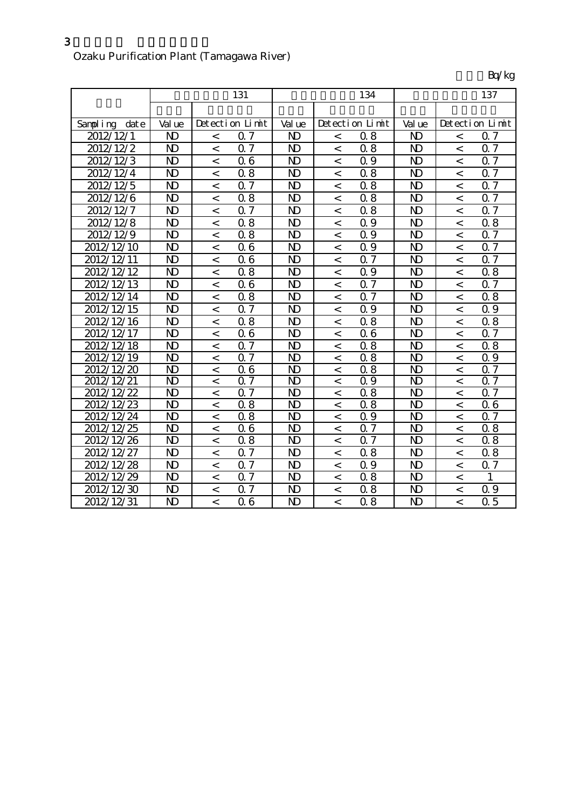## Ozaku Purification Plant (Tamagawa River)

## $Bq/kg$

|               |                |                | 131                        |                       |                | 134              | 137            |                          |                  |
|---------------|----------------|----------------|----------------------------|-----------------------|----------------|------------------|----------------|--------------------------|------------------|
|               |                |                |                            |                       |                |                  |                |                          |                  |
| Sampling date | Val ue         |                | Detection Limit            | Val ue                |                | Detection Limit  | Val ue         |                          | Detection Limit  |
| 2012/12/1     | $\mathbf{D}$   | $\,<$          | 0.7                        | N <sub>D</sub>        | $\,<$          | 0.8              | N <sub>D</sub> | $\,<\,$                  | 0.7              |
| 2012/12/2     | $\mathbf{D}$   | $\,<$          | 0.7                        | N <sub>D</sub>        | $\,<$          | 0.8              | N <sub>D</sub> | $\,<$                    | 0.7              |
| 2012/12/3     | N <sub>D</sub> | $\,<$          | 06                         | N <sub>D</sub>        | $\,<$          | 0.9              | $\mathbf{N}$   | $\lt$                    | 0.7              |
| 2012/12/4     | $\mathbf{D}$   | $\,<$          | 0.8                        | N <sub>D</sub>        | $\lt$          | 0.8              | $\mathbf{N}$   | $\lt$                    | Q 7              |
| 2012/12/5     | $\mathbf{D}$   | $\lt$          | 0.7                        | N <sub>D</sub>        | $\lt$          | 0.8              | N <sub>D</sub> | $\lt$                    | 0.7              |
| 2012/12/6     | $\mathbf{D}$   | $\,<\,$        | 0.8                        | N <sub>D</sub>        | $\lt$          | 0.8              | N <sub>D</sub> | $\lt$                    | Q 7              |
| 2012/12/7     | N <sub>D</sub> | $\,<$          | 0.7                        | N <sub>D</sub>        | $\,<$          | 0.8              | $\mathbf{N}$   | $\,<\,$                  | 0.7              |
| 2012/12/8     | N <sub>D</sub> | $\,<$          | 0.8                        | N <sub>D</sub>        | $\,<$          | Q 9              | N <sub>D</sub> | $\,<$                    | 0.8              |
| 2012/12/9     | $\mathbf{D}$   | $\lt$          | 0.8                        | N <sub>D</sub>        | $\,<$          | 0.9              | N <sub>D</sub> | $\,<$                    | 0.7              |
| 2012/12/10    | $\mathbf{D}$   | $\,<$          | 06                         | N <sub>D</sub>        | $\,<$          | Q 9              | N <sub>D</sub> | $\lt$                    | 0.7              |
| 2012/12/11    | N <sub>D</sub> | $\lt$          | 06                         | N <sub>D</sub>        | $\lt$          | 0.7              | N <sub>D</sub> | $\overline{a}$           | 0.7              |
| 2012/12/12    | N <sub>D</sub> | $\,<$          | 0.8                        | N <sub>D</sub>        | $\lt$          | Q 9              | $\mathbf{N}$   | $\overline{a}$           | 0.8              |
| 2012/12/13    | N <sub>D</sub> | $\,<$          | 06                         | N <sub>D</sub>        | $\,<$          | 0.7              | $\mathbf{N}$   | $\,<$                    | 0.7              |
| 2012/12/14    | $\mathbf{D}$   | $\,<$          | 0.8                        | N <sub>D</sub>        | $\,<$          | Q 7              | N <sub>D</sub> | $\,<\,$                  | 0.8              |
| 2012/12/15    | N <sub>D</sub> | $\,<$          | Q <sub>7</sub>             | N <sub>D</sub>        | $\,<$          | 0.9              | $\mathbf{N}$   | $\lt$                    | Q 9              |
| 2012/12/16    | N <sub>D</sub> | $\lt$          | 0.8                        | N <sub>D</sub>        | $\lt$          | 0.8              | N <sub>D</sub> | $\overline{a}$           | 0.8              |
| 2012/12/17    | $\mathbf{D}$   | $\lt$          | 06                         | N <sub>D</sub>        | $\,<$          | 06               | $\mathbf{D}$   | $\,<$                    | 0.7              |
| 2012/12/18    | N <sub>D</sub> | $\,<$          | 0.7                        | N <sub>D</sub>        | $\,<$          | 0.8              | N <sub>D</sub> | $\,<\,$                  | 0.8              |
| 2012/12/19    | N <sub>D</sub> | $\,<$          | 0.7                        | N <sub>D</sub>        | $\,<$          | 0.8              | $\mathbf{N}$   | $\,<$                    | 0.9              |
| 2012/12/20    | N <sub>D</sub> | $\,<$          | 06                         | $\overline{\text{N}}$ | $\,<$          | 0.8              | N <sub>D</sub> | $\,<$                    | $\overline{0.7}$ |
| 2012/12/21    | N <sub>D</sub> | $\,<$          | $\overline{7}$<br>$\Omega$ | N <sub>D</sub>        | $\,<$          | 0.9              | N <sub>D</sub> | $\,<$                    | 0.7              |
| 2012/12/22    | N <sub>D</sub> | $\,<$          | $\overline{7}$<br>$\Omega$ | N <sub>D</sub>        | $\,<$          | 0.8              | N <sub>D</sub> | $\,<$                    | 0.7              |
| 2012/12/23    | N <sub>D</sub> | $\,<$          | 0.8                        | N <sub>D</sub>        | $\,<$          | 0.8              | N <sub>D</sub> | $\,<$                    | 06               |
| 2012/12/24    | N <sub>D</sub> | $\lt$          | 0.8                        | N <sub>D</sub>        | $\,<$          | 0.9              | $\mathbf{N}$   | $\overline{\phantom{0}}$ | 0.7              |
| 2012/12/25    | N <sub>D</sub> | $\prec$        | 06                         | N <sub>D</sub>        | $\,<$          | 0.7              | N <sub>D</sub> | $\lt$                    | 0.8              |
| 2012/12/26    | N <sub>D</sub> | $\lt$          | 0.8                        | N <sub>D</sub>        | $\overline{a}$ | Q 7              | N <sub>D</sub> | $\overline{a}$           | 0.8              |
| 2012/12/27    | N <sub>D</sub> | $\,<$          | 0.7                        | N <sub>D</sub>        | $\,<$          | 0.8              | $\mathbf{N}$   | $\overline{a}$           | 0.8              |
| 2012/12/28    | N <sub>D</sub> | $\,<$          | 0.7                        | N <sub>D</sub>        | $\,<$          | Q 9              | $\mathbf{N}$   | $\,<$                    | 0.7              |
| 2012/12/29    | $\mathbf{D}$   | $\,<$          | 0.7                        | N <sub>D</sub>        | $\,<$          | 0.8              | N <sub>D</sub> | $\,<\,$                  | 1                |
| 2012/12/30    | $\mathbf{D}$   | $\,<$          | 0.7                        | N <sub>D</sub>        | $\,<\,$        | 0.8              | N <sub>D</sub> | $\,<\,$                  | 0.9              |
| 2012/12/31    | N <sub>D</sub> | $\overline{<}$ | 06                         | N <sub>D</sub>        | $\overline{<}$ | $\overline{0.8}$ | N <sub>D</sub> | $\overline{a}$           | $\overline{0.5}$ |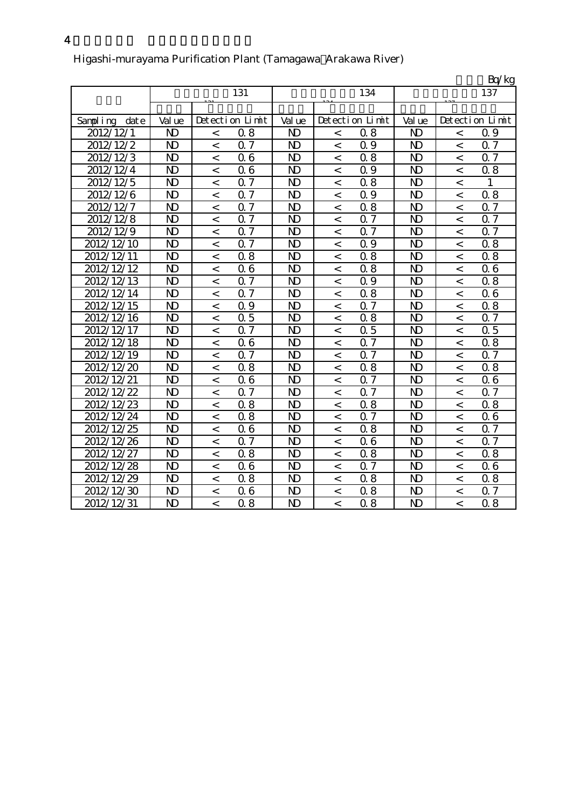#### 単位:Bq/kg 検出値 検出値 検出値 Sampling date | Value | Detection Limit | Value | Detection Limit | Value  $2012/12/1$  ND < 0.8 ND < 0.8 ND < 0.9  $2012/12/2$  ND < 0.7 ND < 0.9 ND < 0.7  $2012/12/3$  ND < 0.6 ND < 0.8 ND < 0.7  $2012/12/4$  ND < 0.6 | ND | < 0.9 | ND | < 0.8  $2012/12/5$  ND < 0.7 | ND | < 0.8 | ND | < 1  $2012/12/6$  ND < 0.7 ND < 0.9 ND < 0.8  $2012/12/7$  ND  $\leq$  0.7 ND  $\leq$  0.8 ND  $\leq$  0.7  $2012/12/8$  ND < 0.7 ND < 0.7 ND < 0.7  $2012/12/9$  ND < 0.7 ND < 0.7 ND < 0.7  $2012/12/10$  ND < 0.7 ND < 0.9 ND < 0.8  $2012/12/11$  ND < 0.8 ND < 0.8 ND < 0.8  $2012/12/12$  ND < 0.6 ND < 0.8 ND < 0.6  $2012/12/13$  ND < 0.7 ND < 0.9 ND < 0.8  $2012/12/14$  | ND | < 0.7 | ND | < 0.8 | ND | < 0.6  $2012/12/15$  ND < 0.9 ND < 0.7 ND < 0.8  $2012/12/16$  ND < 0.5 ND < 0.8 ND < 0.7  $2012/12/17$  ND < 0.7 ND < 0.5 ND < 0.5  $2012/12/18$  ND < 0.6 ND < 0.7 ND < 0.8  $2012/12/19$  ND < 0.7 ND < 0.7 ND < 0.7  $2012/12/20$  ND < 0.8 ND < 0.8 ND < 0.8  $2012/12/21$  ND < 0.6 ND < 0.7 ND < 0.6  $2012/12/22$  ND < 0.7 | ND < 0.7 | ND < 0.7  $2012/12/23$  ND < 0.8 ND < 0.8 ND < 0.8  $2012/12/24$  ND < 0.8 | ND | < 0.7 | ND | < 0.6  $2012/12/25$  ND < 0.6 ND < 0.8 ND < 0.7  $2012/12/26$  ND < 0.7 ND < 0.6 ND < 0.7  $2012/12/27$  ND < 0.8 ND < 0.8 ND < 0.8  $2012/12/28$  ND  $\leq$  0.6 ND  $\leq$  0.7 ND  $\leq$  0.6  $2012/12/29$  ND < 0.8 ND < 0.8 ND < 0.8  $2012/12/30$  ND < 0.6 ND < 0.8 ND < 0.7 放射性ヨウ素131 131<br>|<br>| 放射性セシウム134  $\overline{\phantom{a}}$ 放射性セシウム137 137 May 2002 May 2003 May 2003 May 2004 May 2004 May 2005 May 2007 May 2007 May 2007 May 2007 May 2007 May 20<br>137 May 2007 May 2007 May 2007 May 2007 May 2008 May 2007 May 2008 May 2007 May 2008 May 2007 May 2008 May 200 Detection Limit  $Value$  Detection Limit

 $2012/12/31$  ND < 0.8 ND < 0.8 ND < 0.8

#### Higashi-murayama Purification Plant (Tamagawa Arakawa River)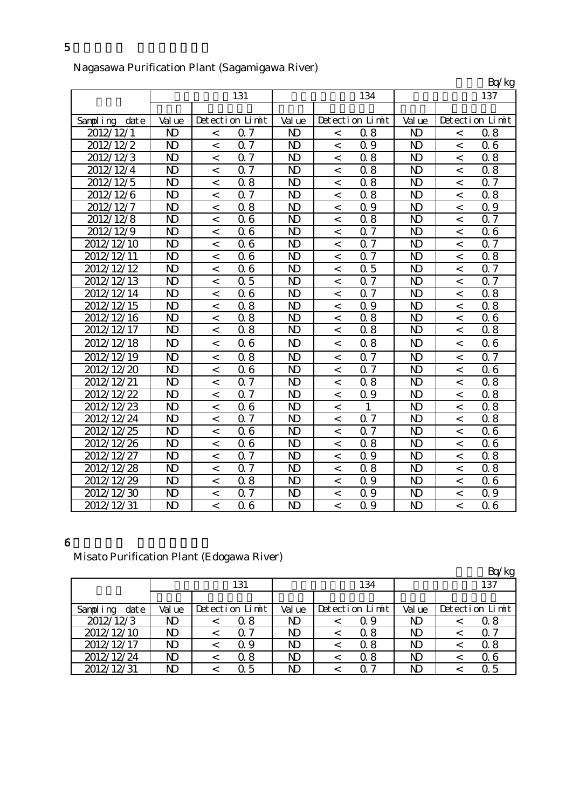|               |                |                |                  |                |                |                  |                |                          | Bq/kg           |
|---------------|----------------|----------------|------------------|----------------|----------------|------------------|----------------|--------------------------|-----------------|
|               |                |                | 131              |                |                | 134              |                |                          | 137             |
|               |                |                |                  |                |                |                  |                |                          |                 |
| Sampling date | Val ue         |                | Detection Limit  | Val ue         |                | Detection Limit  | Val ue         |                          | Detection Limit |
| 2012/12/1     | N <sub>D</sub> | $\,<$          | Q <sub>7</sub>   | N <sub>D</sub> | $\,<\,$        | 0.8              | N <sub>D</sub> | $\,<$                    | 0.8             |
| 2012/12/2     | $\mathbf{D}$   | $\,<\,$        | 0.7              | $\mathbf{D}$   | $\,<\,$        | Q 9              | $\mathbf{N}$   | $\,<\,$                  | 06              |
| 2012/12/3     | $\mathbf{D}$   | $\lt$          | Q <sub>7</sub>   | $\mathbf{D}$   | $\lt$          | 0.8              | N <sub>D</sub> | $\lt$                    | 0.8             |
| 2012/12/4     | $\mathbf{D}$   | $\,<$          | 0.7              | $\mathbf{D}$   | $\,<\,$        | 0.8              | $\mathbf{D}$   | $\,<\,$                  | 0.8             |
| 2012/12/5     | N <sub>D</sub> | $\lt$          | 0.8              | $\mathbf{D}$   | $\,<\,$        | 0.8              | N <sub>D</sub> | $\overline{\phantom{0}}$ | 0.7             |
| 2012/12/6     | $\mathbf{D}$   | $\overline{a}$ | $0\bar{7}$       | $\mathbf{D}$   | $\lt$          | $\overline{0.8}$ | $\mathbf{D}$   | $\,<\,$                  | 0.8             |
| 2012/12/7     | $\mathbf{D}$   | $\prec$        | 0.8              | N <sub>D</sub> | $\lt$          | Q 9              | N <sub>D</sub> | $\overline{\phantom{0}}$ | Q 9             |
| 2012/12/8     | $\mathbf{D}$   | $\lt$          | 06               | $\mathbf{D}$   | $\,<\,$        | 0.8              | N <sub>D</sub> | $\lt$                    | 0.7             |
| 2012/12/9     | $\mathbf{D}$   | $\,<\,$        | 06               | $\mathbf{D}$   | $\,<\,$        | Q 7              | $\mathbf{D}$   | $\,<\,$                  | 06              |
| 2012/12/10    | $\mathbf{D}$   | $\,<$          | 06               | $\mathbf{D}$   | $\,<\,$        | 0.7              | $\mathbf{D}$   | $\,<$                    | 0.7             |
| 2012/12/11    | $\mathbf{D}$   | $\,<$          | 06               | $\mathbf{D}$   | $\lt$          | 0.7              | N <sub>D</sub> | $\,<\,$                  | 0.8             |
| 2012/12/12    | N <sub>D</sub> | $\,<\,$        | 06               | $\mathbf{D}$   | $\lt$          | 0.5              | $\mathbf{D}$   | $\lt$                    | 0.7             |
| 2012/12/13    | $\mathbf{D}$   | $\lt$          | 0.5              | $\mathbf{D}$   | $\lt$          | Q 7              | $\mathbf{D}$   | $\lt$                    | Q 7             |
| 2012/12/14    | $\mathbf{D}$   | $\,<$          | 06               | $\mathbf{D}$   | $\,<\,$        | 0.7              | $\mathbf{D}$   | $\,<\,$                  | 0.8             |
| 2012/12/15    | $\mathbf{D}$   | $\,<$          | 0.8              | $\mathbf{D}$   | $\,<\,$        | Q 9              | N <sub>D</sub> | $\,<\,$                  | 0.8             |
| 2012/12/16    | $\mathbf{D}$   | $\overline{a}$ | 0.8              | $\mathbf{D}$   | $\,<\,$        | 0.8              | N <sub>D</sub> | $\,<$                    | 06              |
| 2012/12/17    | N <sub>D</sub> | $\prec$        | 0.8              | $\mathbf{D}$   | $\lt$          | 0.8              | N <sub>D</sub> | $\lt$                    | 0.8             |
| 2012/12/18    | $\mathbf{D}$   | $\,<\,$        | 06               | $\mathbf{D}$   | $\,<\,$        | 0.8              | $\mathbf{D}$   | $\,<\,$                  | 06              |
| 2012/12/19    | $\mathbf{D}$   | $\prec$        | 0.8              | $\mathbf{D}$   | $\lt$          | Q 7              | $\mathbf{D}$   | $\overline{\phantom{0}}$ | <b>Q</b> 7      |
| 2012/12/20    | N <sub>D</sub> | $\,<$          | 06               | $\mathbf{D}$   | $\,<\,$        | 0.7              | $\mathbf{D}$   | $\,<\,$                  | 06              |
| 2012/12/21    | N <sub>D</sub> | $\overline{<}$ | 0.7              | $\mathbf{D}$   | $\lt$          | 0.8              | $\mathbf{D}$   | $\overline{\phantom{a}}$ | 0.8             |
| 2012/12/22    | $\mathbf{D}$   | $\,<$          | $\overline{0.7}$ | N <sub>D</sub> | $\lt$          | 0.9              | N <sub>D</sub> | $\lt$                    | 0.8             |
| 2012/12/23    | $\mathbf{D}$   | $\lt$          | 06               | $\mathbf{D}$   | $\overline{a}$ | 1                | N <sub>D</sub> | $\overline{a}$           | 0.8             |
| 2012/12/24    | N <sub>D</sub> | $\,<\,$        | Q 7              | $\mathbf{D}$   | $\,<\,$        | 0.7              | N <sub>D</sub> | $\,<\,$                  | 0.8             |
| 2012/12/25    | N <sub>D</sub> | $\,<\,$        | 06               | $\mathbf{D}$   | $\,<\,$        | 0.7              | $\mathbf{D}$   | $\,<\,$                  | 06              |
| 2012/12/26    | N <sub>D</sub> | $\,<$          | 06               | $\mathbf{D}$   | $\,<\,$        | 0.8              | N <sub>D</sub> | $\,<$                    | 06              |
| 2012/12/27    | $\mathbf{D}$   | $\lt$          | 0.7              | $\mathbf{D}$   | $\lt$          | 0.9              | $\mathbf{D}$   | $\lt$                    | 0.8             |
| 2012/12/28    | N <sub>D</sub> | $\,<$          | 0.7              | $\mathbf{D}$   | $\,<\,$        | 0.8              | N <sub>D</sub> | $\,<$                    | 0.8             |
| 2012/12/29    | N <sub>D</sub> | $\lt$          | 0.8              | $\mathbf{D}$   | $\lt$          | Q 9              | $\mathbf{N}$   | $\overline{\phantom{0}}$ | 06              |
| 2012/12/30    | $\mathbf{D}$   | $\,<\,$        | 0.7              | N <sub>D</sub> | $\,<\,$        | 0.9              | N <sub>D</sub> | $\,<\,$                  | 0.9             |
| 2012/12/31    | N <sub>D</sub> | $\overline{a}$ | 06               | $\mathbf{D}$   | $\overline{a}$ | Q 9              | N <sub>D</sub> | $\overline{a}$           | 06              |

## Nagasawa Purification Plant (Sagamigawa River)

### 6

# Misato Purification Plant (Edogawa River)

|                  |        |  |                 |        |     |                 |        |     | Bq/kg           |  |
|------------------|--------|--|-----------------|--------|-----|-----------------|--------|-----|-----------------|--|
|                  | 131    |  |                 |        | 134 |                 |        | 137 |                 |  |
|                  |        |  |                 |        |     |                 |        |     |                 |  |
| Sampling<br>date | Val ue |  | Detection Limit | Val ue |     | Detection Limit | Val ue |     | Detection Limit |  |
| 2012/12/3        | ND     |  | 0 8             | ND     |     | Q 9             | ND     |     | 0.8             |  |
| 2012/12/10       | ND     |  | 0.7             | ND     |     | 0.8             | ND     |     | Q 7             |  |
| 2012/12/17       | ND     |  | Q 9             | ND     |     | 0.8             | ND     |     | 0.8             |  |
| 2012/12/24       | ND     |  | 0.8             | ND     |     | 0.8             | ND     |     | $\alpha$ 6      |  |
| 2012/12/31       | ND     |  | Q 5             | ND     |     |                 | ND     |     | Q 5             |  |